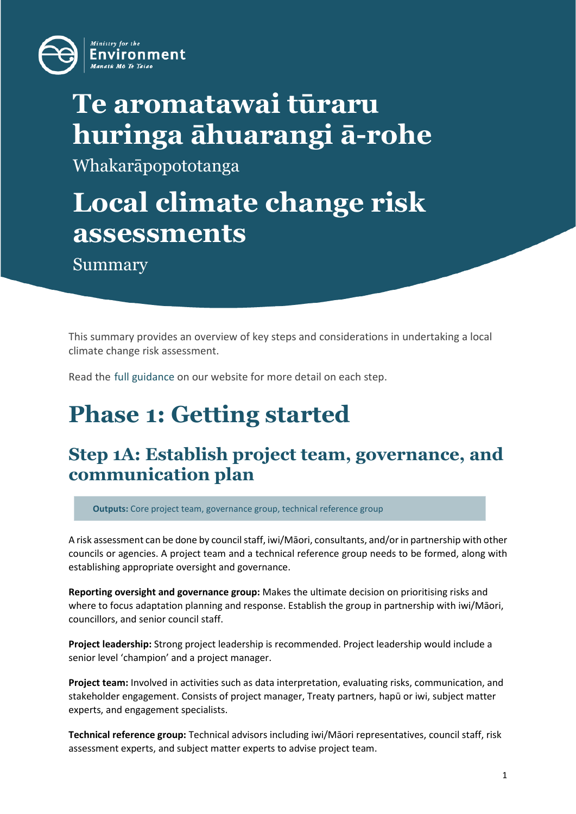

# **Te aromatawai tūraru huringa āhuarangi ā-rohe**

Whakarāpopototanga

# **Local climate change risk assessments**

Summary

This summary provides an overview of key steps and considerations in undertaking a local climate change risk assessment.

Read the [full guidance](https://environment.govt.nz/publications/a-guide-to-local-climate-change-risk-assessments/) on our website for more detail on each step.

# **Phase 1: Getting started**

### **Step 1A: Establish project team, governance, and communication plan**

**Outputs:** Core project team, governance group, technical reference group

A risk assessment can be done by council staff, iwi/Māori, consultants, and/or in partnership with other councils or agencies. A project team and a technical reference group needs to be formed, along with establishing appropriate oversight and governance.

**Reporting oversight and governance group:** Makes the ultimate decision on prioritising risks and where to focus adaptation planning and response. Establish the group in partnership with iwi/Māori, councillors, and senior council staff.

**Project leadership:** Strong project leadership is recommended. Project leadership would include a senior level 'champion' and a project manager.

**Project team:** Involved in activities such as data interpretation, evaluating risks, communication, and stakeholder engagement. Consists of project manager, Treaty partners, hapū or iwi, subject matter experts, and engagement specialists.

**Technical reference group:** Technical advisors including iwi/Māori representatives, council staff, risk assessment experts, and subject matter experts to advise project team.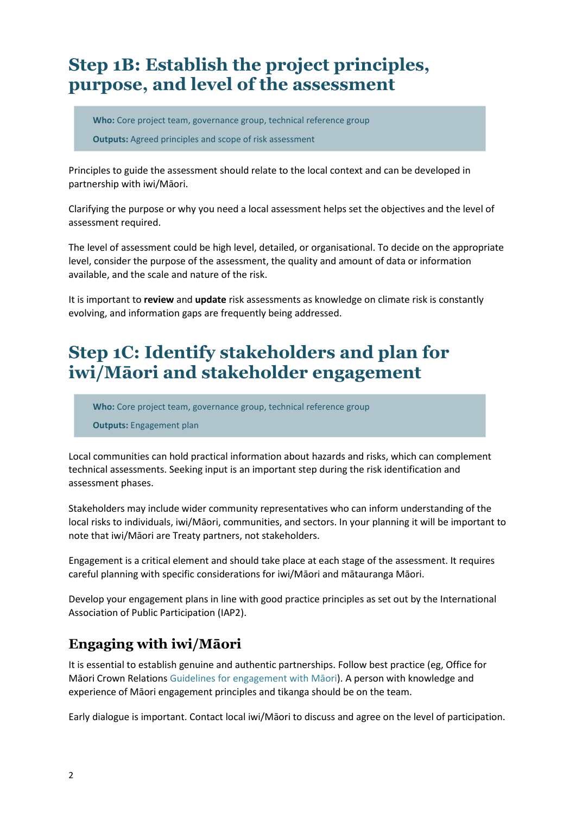## **Step 1B: Establish the project principles, purpose, and level of the assessment**

**Who:** Core project team, governance group, technical reference group **Outputs:** Agreed principles and scope of risk assessment

Principles to guide the assessment should relate to the local context and can be developed in partnership with iwi/Māori.

Clarifying the purpose or why you need a local assessment helps set the objectives and the level of assessment required.

The level of assessment could be high level, detailed, or organisational. To decide on the appropriate level, consider the purpose of the assessment, the quality and amount of data or information available, and the scale and nature of the risk.

It is important to **review** and **update** risk assessments as knowledge on climate risk is constantly evolving, and information gaps are frequently being addressed.

## **Step 1C: Identify stakeholders and plan for iwi/Māori and stakeholder engagement**

**Who:** Core project team, governance group, technical reference group

**Outputs:** Engagement plan

Local communities can hold practical information about hazards and risks, which can complement technical assessments. Seeking input is an important step during the risk identification and assessment phases.

Stakeholders may include wider community representatives who can inform understanding of the local risks to individuals, iwi/Māori, communities, and sectors. In your planning it will be important to note that iwi/Māori are Treaty partners, not stakeholders.

Engagement is a critical element and should take place at each stage of the assessment. It requires careful planning with specific considerations for iwi/Māori and mātauranga Māori.

Develop your engagement plans in line with good practice principles as set out by the International Association of Public Participation (IAP2).

### **Engaging with iwi/Māori**

It is essential to establish genuine and authentic partnerships. Follow best practice (eg, Office for Māori Crown Relation[s Guidelines for engagement with Māori](https://www.tearawhiti.govt.nz/assets/Maori-Crown-Relations-Roopu/6b46d994f8/Engagement-Guidelines-1-Oct-18.pdf)). A person with knowledge and experience of Māori engagement principles and tikanga should be on the team.

Early dialogue is important. Contact local iwi/Māori to discuss and agree on the level of participation.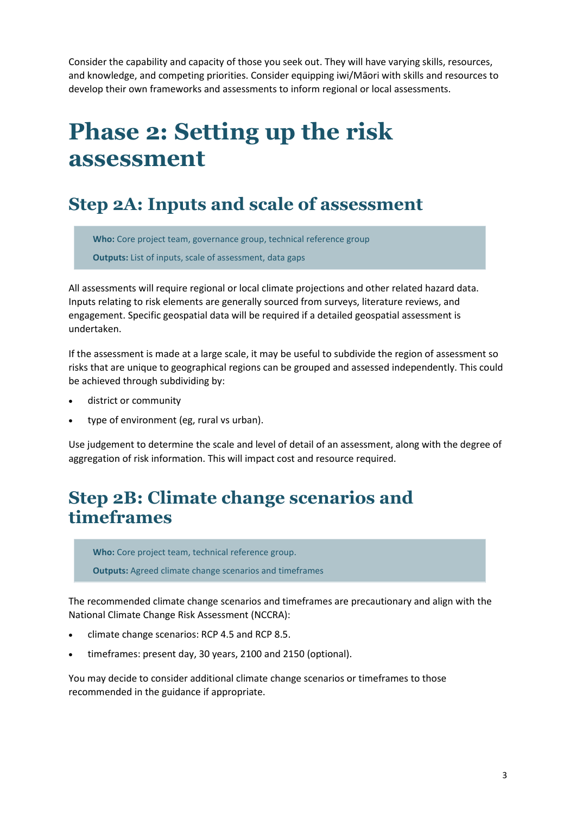Consider the capability and capacity of those you seek out. They will have varying skills, resources, and knowledge, and competing priorities. Consider equipping iwi/Māori with skills and resources to develop their own frameworks and assessments to inform regional or local assessments.

# **Phase 2: Setting up the risk assessment**

### **Step 2A: Inputs and scale of assessment**

**Who:** Core project team, governance group, technical reference group **Outputs:** List of inputs, scale of assessment, data gaps

All assessments will require regional or local climate projections and other related hazard data. Inputs relating to risk elements are generally sourced from surveys, literature reviews, and engagement. Specific geospatial data will be required if a detailed geospatial assessment is undertaken.

If the assessment is made at a large scale, it may be useful to subdivide the region of assessment so risks that are unique to geographical regions can be grouped and assessed independently. This could be achieved through subdividing by:

- district or community
- type of environment (eg, rural vs urban).

Use judgement to determine the scale and level of detail of an assessment, along with the degree of aggregation of risk information. This will impact cost and resource required.

### **Step 2B: Climate change scenarios and timeframes**

**Who:** Core project team, technical reference group.

**Outputs:** Agreed climate change scenarios and timeframes

The recommended climate change scenarios and timeframes are precautionary and align with the National Climate Change Risk Assessment (NCCRA):

- climate change scenarios: RCP 4.5 and RCP 8.5.
- timeframes: present day, 30 years, 2100 and 2150 (optional).

You may decide to consider additional climate change scenarios or timeframes to those recommended in the guidance if appropriate.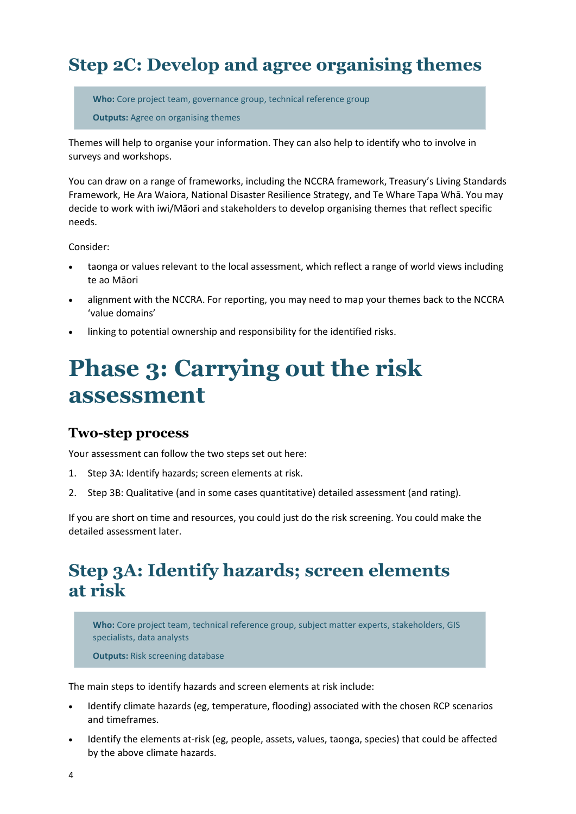## **Step 2C: Develop and agree organising themes**

**Who:** Core project team, governance group, technical reference group

**Outputs:** Agree on organising themes

Themes will help to organise your information. They can also help to identify who to involve in surveys and workshops.

You can draw on a range of frameworks, including the NCCRA framework, Treasury's Living Standards Framework, He Ara Waiora, National Disaster Resilience Strategy, and Te Whare Tapa Whā. You may decide to work with iwi/Māori and stakeholders to develop organising themes that reflect specific needs.

Consider:

- taonga or values relevant to the local assessment, which reflect a range of world views including te ao Māori
- alignment with the NCCRA. For reporting, you may need to map your themes back to the NCCRA 'value domains'
- linking to potential ownership and responsibility for the identified risks.

# **Phase 3: Carrying out the risk assessment**

#### **Two-step process**

Your assessment can follow the two steps set out here:

- 1. Step 3A: Identify hazards; screen elements at risk.
- 2. Step 3B: Qualitative (and in some cases quantitative) detailed assessment (and rating).

If you are short on time and resources, you could just do the risk screening. You could make the detailed assessment later.

### **Step 3A: Identify hazards; screen elements at risk**

**Who:** Core project team, technical reference group, subject matter experts, stakeholders, GIS specialists, data analysts

**Outputs:** Risk screening database

The main steps to identify hazards and screen elements at risk include:

- Identify climate hazards (eg, temperature, flooding) associated with the chosen RCP scenarios and timeframes.
- Identify the elements at-risk (eg, people, assets, values, taonga, species) that could be affected by the above climate hazards.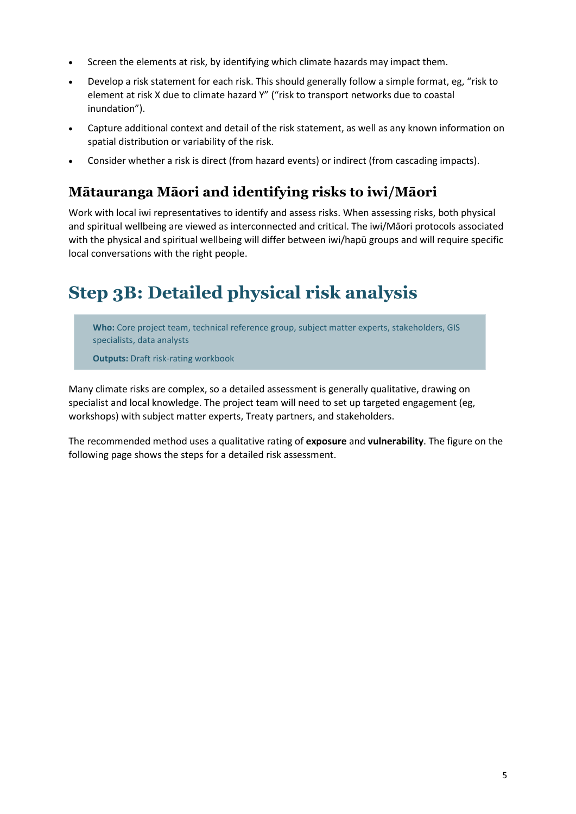- Screen the elements at risk, by identifying which climate hazards may impact them.
- Develop a risk statement for each risk. This should generally follow a simple format, eg, "risk to element at risk X due to climate hazard Y" ("risk to transport networks due to coastal inundation").
- Capture additional context and detail of the risk statement, as well as any known information on spatial distribution or variability of the risk.
- Consider whether a risk is direct (from hazard events) or indirect (from cascading impacts).

#### **Mātauranga Māori and identifying risks to iwi/Māori**

Work with local iwi representatives to identify and assess risks. When assessing risks, both physical and spiritual wellbeing are viewed as interconnected and critical. The iwi/Māori protocols associated with the physical and spiritual wellbeing will differ between iwi/hapū groups and will require specific local conversations with the right people.

## **Step 3B: Detailed physical risk analysis**

**Who:** Core project team, technical reference group, subject matter experts, stakeholders, GIS specialists, data analysts

**Outputs:** Draft risk-rating workbook

Many climate risks are complex, so a detailed assessment is generally qualitative, drawing on specialist and local knowledge. The project team will need to set up targeted engagement (eg, workshops) with subject matter experts, Treaty partners, and stakeholders.

The recommended method uses a qualitative rating of **exposure** and **vulnerability**. The figure on the following page shows the steps for a detailed risk assessment.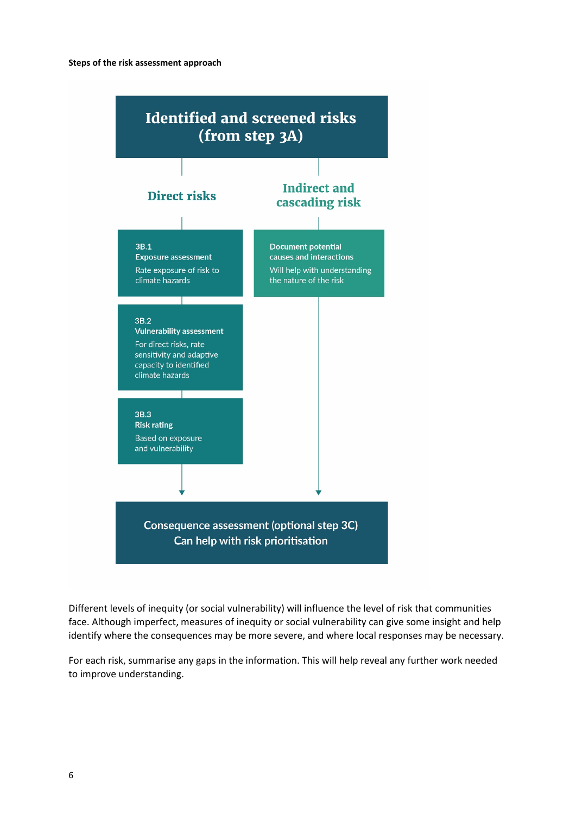

Different levels of inequity (or social vulnerability) will influence the level of risk that communities face. Although imperfect, measures of inequity or social vulnerability can give some insight and help identify where the consequences may be more severe, and where local responses may be necessary.

For each risk, summarise any gaps in the information. This will help reveal any further work needed to improve understanding.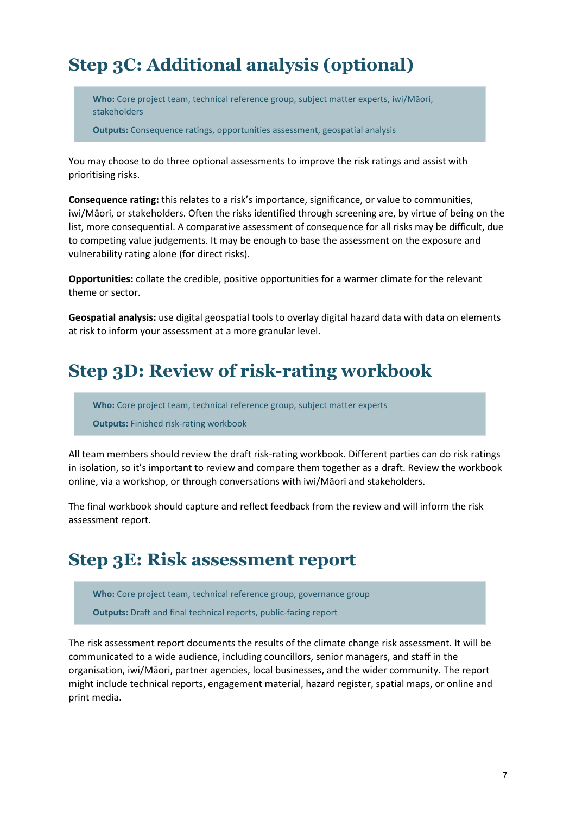# **Step 3C: Additional analysis (optional)**

**Who:** Core project team, technical reference group, subject matter experts, iwi/Māori, stakeholders

**Outputs:** Consequence ratings, opportunities assessment, geospatial analysis

You may choose to do three optional assessments to improve the risk ratings and assist with prioritising risks.

**Consequence rating:** this relates to a risk's importance, significance, or value to communities, iwi/Māori, or stakeholders. Often the risks identified through screening are, by virtue of being on the list, more consequential. A comparative assessment of consequence for all risks may be difficult, due to competing value judgements. It may be enough to base the assessment on the exposure and vulnerability rating alone (for direct risks).

**Opportunities:** collate the credible, positive opportunities for a warmer climate for the relevant theme or sector.

**Geospatial analysis:** use digital geospatial tools to overlay digital hazard data with data on elements at risk to inform your assessment at a more granular level.

## **Step 3D: Review of risk-rating workbook**

**Who:** Core project team, technical reference group, subject matter experts

**Outputs:** Finished risk-rating workbook

All team members should review the draft risk-rating workbook. Different parties can do risk ratings in isolation, so it's important to review and compare them together as a draft. Review the workbook online, via a workshop, or through conversations with iwi/Māori and stakeholders.

The final workbook should capture and reflect feedback from the review and will inform the risk assessment report.

### **Step 3E: Risk assessment report**

**Who:** Core project team, technical reference group, governance group **Outputs:** Draft and final technical reports, public-facing report

The risk assessment report documents the results of the climate change risk assessment. It will be communicated to a wide audience, including councillors, senior managers, and staff in the organisation, iwi/Māori, partner agencies, local businesses, and the wider community. The report might include technical reports, engagement material, hazard register, spatial maps, or online and print media.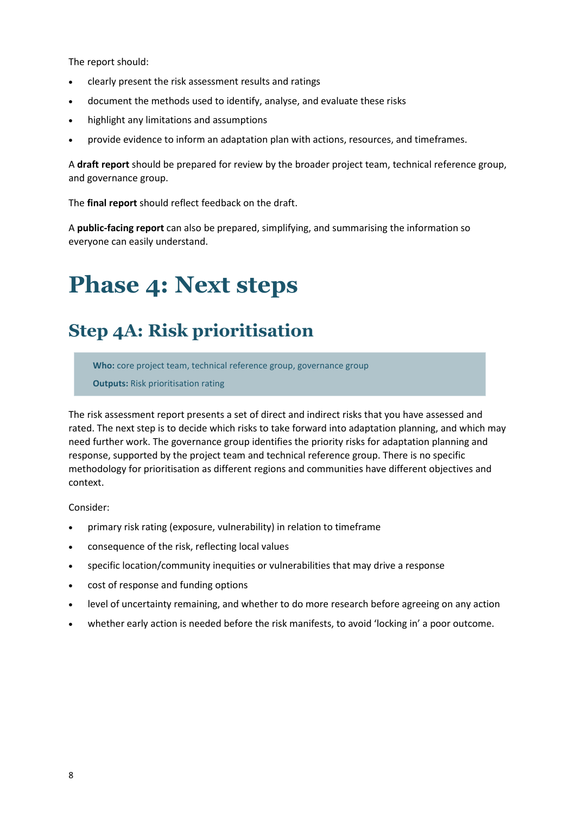The report should:

- clearly present the risk assessment results and ratings
- document the methods used to identify, analyse, and evaluate these risks
- highlight any limitations and assumptions
- provide evidence to inform an adaptation plan with actions, resources, and timeframes.

A **draft report** should be prepared for review by the broader project team, technical reference group, and governance group.

The **final report** should reflect feedback on the draft.

A **public-facing report** can also be prepared, simplifying, and summarising the information so everyone can easily understand.

# **Phase 4: Next steps**

# **Step 4A: Risk prioritisation**

**Who:** core project team, technical reference group, governance group

**Outputs:** Risk prioritisation rating

The risk assessment report presents a set of direct and indirect risks that you have assessed and rated. The next step is to decide which risks to take forward into adaptation planning, and which may need further work. The governance group identifies the priority risks for adaptation planning and response, supported by the project team and technical reference group. There is no specific methodology for prioritisation as different regions and communities have different objectives and context.

Consider:

- primary risk rating (exposure, vulnerability) in relation to timeframe
- consequence of the risk, reflecting local values
- specific location/community inequities or vulnerabilities that may drive a response
- cost of response and funding options
- level of uncertainty remaining, and whether to do more research before agreeing on any action
- whether early action is needed before the risk manifests, to avoid 'locking in' a poor outcome.